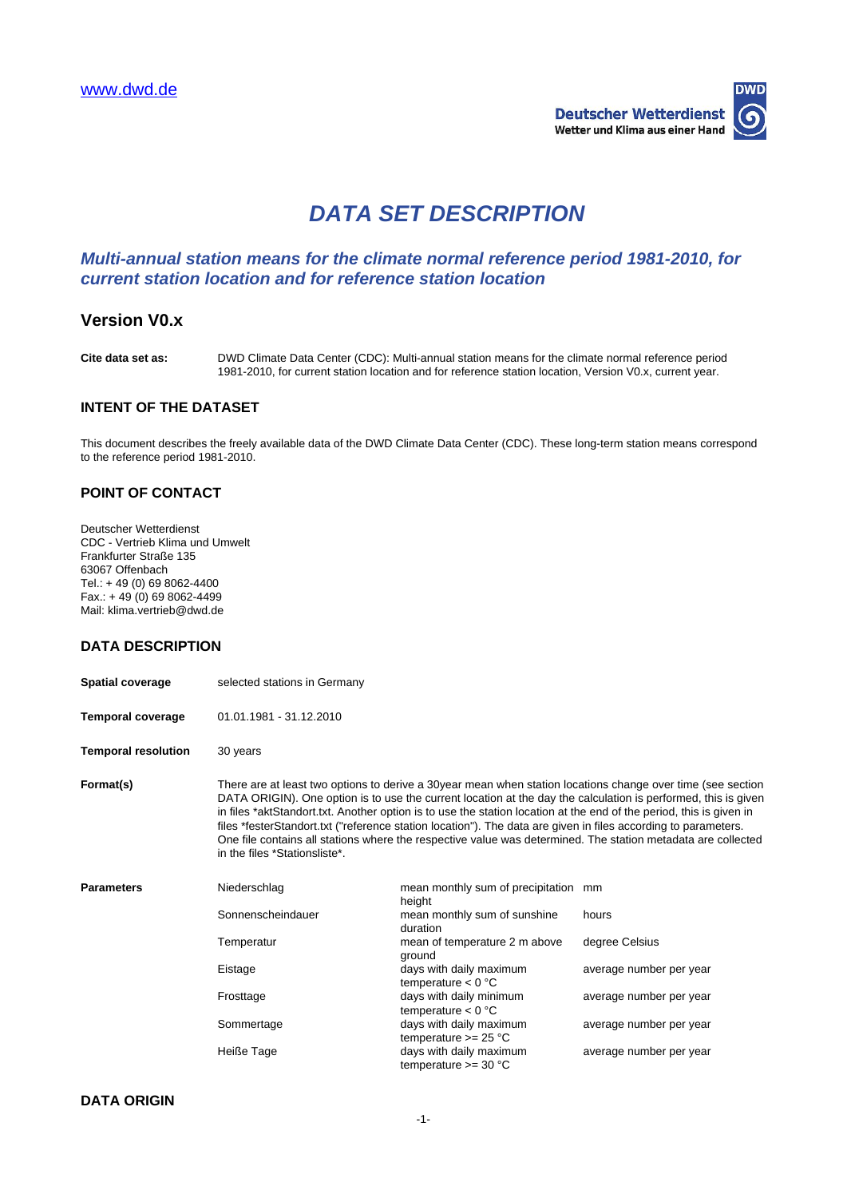

# **DATA SET DESCRIPTION**

# **Multi-annual station means for the climate normal reference period 1981-2010, for current station location and for reference station location**

# **Version V0.x**

**Cite data set as:** DWD Climate Data Center (CDC): Multi-annual station means for the climate normal reference period 1981-2010, for current station location and for reference station location, Version V0.x, current year.

#### **INTENT OF THE DATASET**

This document describes the freely available data of the DWD Climate Data Center (CDC). These long-term station means correspond to the reference period 1981-2010.

### **POINT OF CONTACT**

Deutscher Wetterdienst CDC - Vertrieb Klima und Umwelt Frankfurter Straße 135 63067 Offenbach Tel.: + 49 (0) 69 8062-4400 Fax.: + 49 (0) 69 8062-4499 Mail: klima.vertrieb@dwd.de

## **DATA DESCRIPTION**

| <b>Spatial coverage</b>    | selected stations in Germany                                                                                                                                                                                                                                                                                                                                                                                                                                                                                                                                                                                            |                                                   |                         |
|----------------------------|-------------------------------------------------------------------------------------------------------------------------------------------------------------------------------------------------------------------------------------------------------------------------------------------------------------------------------------------------------------------------------------------------------------------------------------------------------------------------------------------------------------------------------------------------------------------------------------------------------------------------|---------------------------------------------------|-------------------------|
| <b>Temporal coverage</b>   | 01.01.1981 - 31.12.2010                                                                                                                                                                                                                                                                                                                                                                                                                                                                                                                                                                                                 |                                                   |                         |
| <b>Temporal resolution</b> | 30 years                                                                                                                                                                                                                                                                                                                                                                                                                                                                                                                                                                                                                |                                                   |                         |
| Format(s)                  | There are at least two options to derive a 30year mean when station locations change over time (see section<br>DATA ORIGIN). One option is to use the current location at the day the calculation is performed, this is given<br>in files *aktStandort.txt. Another option is to use the station location at the end of the period, this is given in<br>files *festerStandort.txt ("reference station location"). The data are given in files according to parameters.<br>One file contains all stations where the respective value was determined. The station metadata are collected<br>in the files *Stationsliste*. |                                                   |                         |
| <b>Parameters</b>          | Niederschlag                                                                                                                                                                                                                                                                                                                                                                                                                                                                                                                                                                                                            | mean monthly sum of precipitation<br>height       | mm                      |
|                            | Sonnenscheindauer                                                                                                                                                                                                                                                                                                                                                                                                                                                                                                                                                                                                       | mean monthly sum of sunshine<br>duration          | hours                   |
|                            | Temperatur                                                                                                                                                                                                                                                                                                                                                                                                                                                                                                                                                                                                              | mean of temperature 2 m above<br>ground           | degree Celsius          |
|                            | Eistage                                                                                                                                                                                                                                                                                                                                                                                                                                                                                                                                                                                                                 | days with daily maximum<br>temperature $< 0$ °C   | average number per year |
|                            | Frosttage                                                                                                                                                                                                                                                                                                                                                                                                                                                                                                                                                                                                               | days with daily minimum<br>temperature $< 0$ °C   | average number per year |
|                            | Sommertage                                                                                                                                                                                                                                                                                                                                                                                                                                                                                                                                                                                                              | days with daily maximum<br>temperature $>= 25 °C$ | average number per year |
|                            | Heiße Tage                                                                                                                                                                                                                                                                                                                                                                                                                                                                                                                                                                                                              | days with daily maximum<br>temperature $>=$ 30 °C | average number per year |